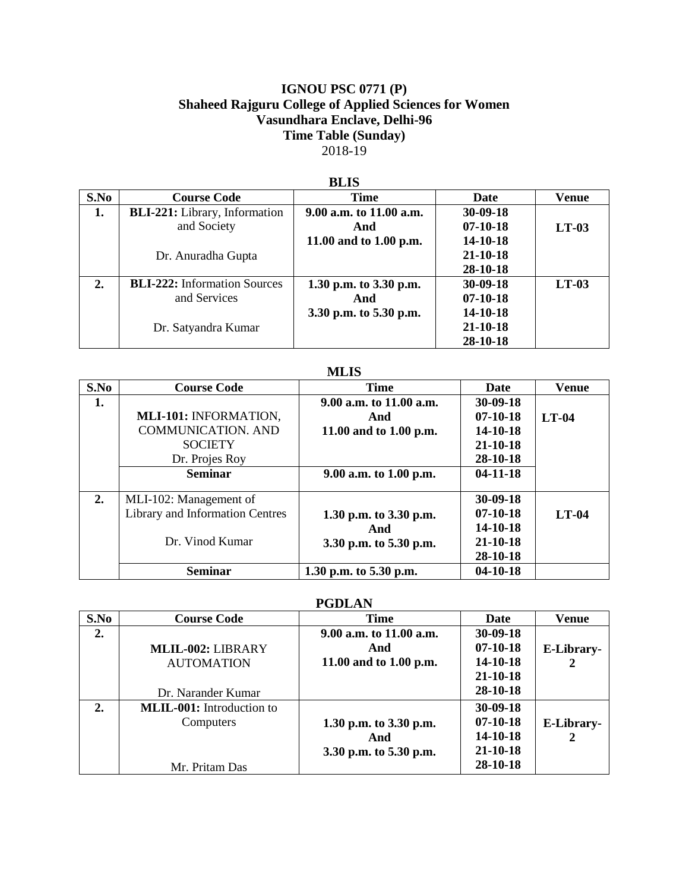## **IGNOU PSC 0771 (P) Shaheed Rajguru College of Applied Sciences for Women Vasundhara Enclave, Delhi-96 Time Table (Sunday)** 2018-19

| <u>DDA</u> |                                      |                         |                |         |
|------------|--------------------------------------|-------------------------|----------------|---------|
| S.No       | <b>Course Code</b>                   | <b>Time</b>             | Date           | Venue   |
| 1.         | <b>BLI-221:</b> Library, Information | 9.00 a.m. to 11.00 a.m. | $30 - 09 - 18$ |         |
|            | and Society                          | And                     | $07-10-18$     | $LT-03$ |
|            |                                      | 11.00 and to 1.00 p.m.  | 14-10-18       |         |
|            | Dr. Anuradha Gupta                   |                         | $21 - 10 - 18$ |         |
|            |                                      |                         | 28-10-18       |         |
| 2.         | <b>BLI-222:</b> Information Sources  | 1.30 p.m. to 3.30 p.m.  | $30 - 09 - 18$ | $LT-03$ |
|            | and Services                         | And                     | $07 - 10 - 18$ |         |
|            |                                      | 3.30 p.m. to 5.30 p.m.  | 14-10-18       |         |
|            | Dr. Satyandra Kumar                  |                         | $21 - 10 - 18$ |         |
|            |                                      |                         | 28-10-18       |         |

#### **BLIS**

#### **MLIS**

| S.No | <b>Course Code</b>              | <b>Time</b>             | Date           | <b>Venue</b> |
|------|---------------------------------|-------------------------|----------------|--------------|
| 1.   |                                 | 9.00 a.m. to 11.00 a.m. | $30 - 09 - 18$ |              |
|      | MLI-101: INFORMATION,           | And                     | $07-10-18$     | $LT-04$      |
|      | <b>COMMUNICATION. AND</b>       | 11.00 and to 1.00 p.m.  | 14-10-18       |              |
|      | <b>SOCIETY</b>                  |                         | $21 - 10 - 18$ |              |
|      | Dr. Projes Roy                  |                         | 28-10-18       |              |
|      | <b>Seminar</b>                  | 9.00 a.m. to 1.00 p.m.  | $04-11-18$     |              |
|      |                                 |                         |                |              |
| 2.   | MLI-102: Management of          |                         | $30 - 09 - 18$ |              |
|      | Library and Information Centres | 1.30 p.m. to 3.30 p.m.  | $07-10-18$     | $LT-04$      |
|      |                                 | And                     | 14-10-18       |              |
|      | Dr. Vinod Kumar                 | 3.30 p.m. to 5.30 p.m.  | $21 - 10 - 18$ |              |
|      |                                 |                         | 28-10-18       |              |
|      | <b>Seminar</b>                  | 1.30 p.m. to 5.30 p.m.  | $04 - 10 - 18$ |              |

# **PGDLAN**

| S.No | <b>Course Code</b>               | Time                    | Date           | Venue      |
|------|----------------------------------|-------------------------|----------------|------------|
| 2.   |                                  | 9.00 a.m. to 11.00 a.m. | $30 - 09 - 18$ |            |
|      | MLIL-002: LIBRARY                | And                     | $07-10-18$     | E-Library- |
|      | <b>AUTOMATION</b>                | 11.00 and to 1.00 p.m.  | 14-10-18       | 2          |
|      |                                  |                         | $21 - 10 - 18$ |            |
|      | Dr. Narander Kumar               |                         | 28-10-18       |            |
| 2.   | <b>MLIL-001:</b> Introduction to |                         | 30-09-18       |            |
|      | Computers                        | 1.30 p.m. to 3.30 p.m.  | $07-10-18$     | E-Library- |
|      |                                  | And                     | 14-10-18       | 2          |
|      |                                  | 3.30 p.m. to 5.30 p.m.  | $21 - 10 - 18$ |            |
|      | Mr. Pritam Das                   |                         | 28-10-18       |            |